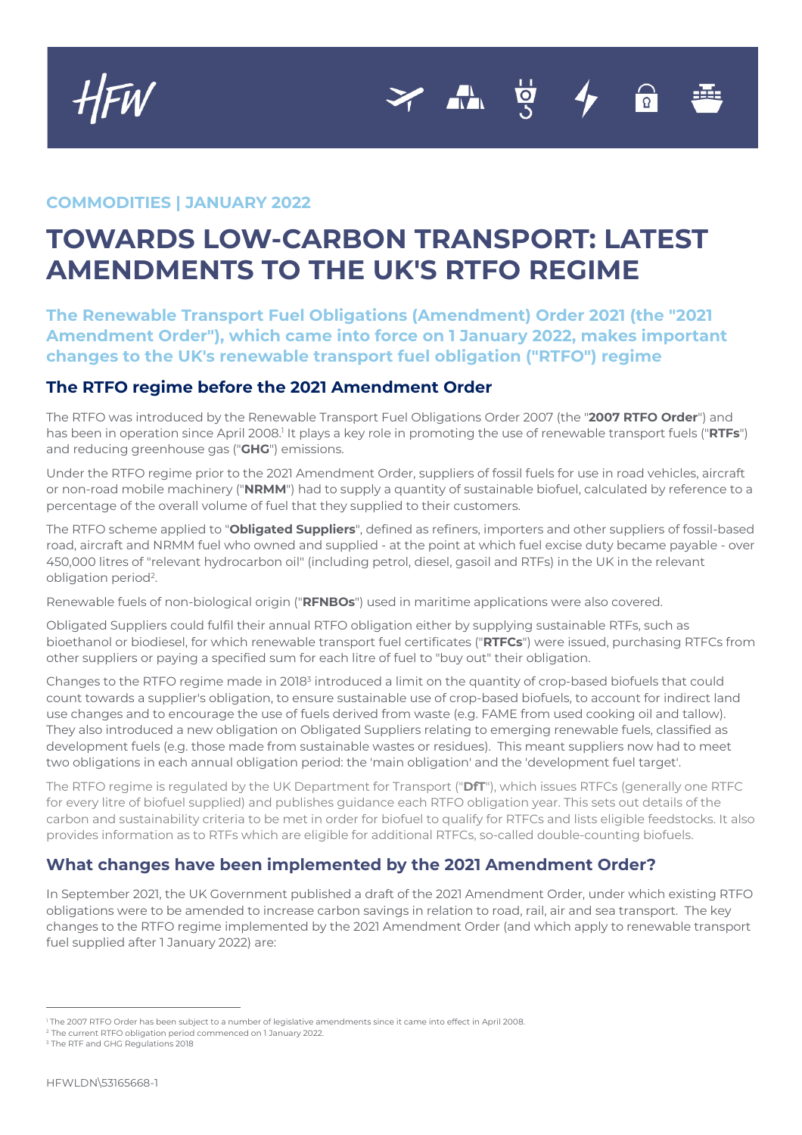**COMMODITIES | JANUARY 2022**

## **TOWARDS LOW-CARBON TRANSPORT: LATEST AMENDMENTS TO THE UK'S RTFO REGIME**

 $\overline{\phantom{a}}$ 

**The Renewable Transport Fuel Obligations (Amendment) Order 2021 (the "2021 Amendment Order"), which came into force on 1 January 2022, makes important changes to the UK's renewable transport fuel obligation ("RTFO") regime**

## **The RTFO regime before the 2021 Amendment Order**

The RTFO was introduced by the Renewable Transport Fuel Obligations Order 2007 (the "**2007 RTFO Order**") and has been in operation since April 2008.<sup>1</sup> It plays a key role in promoting the use of renewable transport fuels ("RTFs") and reducing greenhouse gas ("**GHG**") emissions.

Under the RTFO regime prior to the 2021 Amendment Order, suppliers of fossil fuels for use in road vehicles, aircraft or non-road mobile machinery ("**NRMM**") had to supply a quantity of sustainable biofuel, calculated by reference to a percentage of the overall volume of fuel that they supplied to their customers.

The RTFO scheme applied to "**Obligated Suppliers**", defined as refiners, importers and other suppliers of fossil-based road, aircraft and NRMM fuel who owned and supplied - at the point at which fuel excise duty became payable - over 450,000 litres of "relevant hydrocarbon oil" (including petrol, diesel, gasoil and RTFs) in the UK in the relevant obligation period<sup>2</sup>.

Renewable fuels of non-biological origin ("**RFNBOs**") used in maritime applications were also covered.

Obligated Suppliers could fulfil their annual RTFO obligation either by supplying sustainable RTFs, such as bioethanol or biodiesel, for which renewable transport fuel certificates ("**RTFCs**") were issued, purchasing RTFCs from other suppliers or paying a specified sum for each litre of fuel to "buy out" their obligation.

Changes to the RTFO regime made in 20183 introduced a limit on the quantity of crop-based biofuels that could count towards a supplier's obligation, to ensure sustainable use of crop-based biofuels, to account for indirect land use changes and to encourage the use of fuels derived from waste (e.g. FAME from used cooking oil and tallow). They also introduced a new obligation on Obligated Suppliers relating to emerging renewable fuels, classified as development fuels (e.g. those made from sustainable wastes or residues). This meant suppliers now had to meet two obligations in each annual obligation period: the 'main obligation' and the 'development fuel target'.

The RTFO regime is regulated by the UK Department for Transport ("**DfT**"), which issues RTFCs (generally one RTFC for every litre of biofuel supplied) and publishes guidance each RTFO obligation year. This sets out details of the carbon and sustainability criteria to be met in order for biofuel to qualify for RTFCs and lists eligible feedstocks. It also provides information as to RTFs which are eligible for additional RTFCs, so-called double-counting biofuels.

## **What changes have been implemented by the 2021 Amendment Order?**

In September 2021, the UK Government published a draft of the 2021 Amendment Order, under which existing RTFO obligations were to be amended to increase carbon savings in relation to road, rail, air and sea transport. The key changes to the RTFO regime implemented by the 2021 Amendment Order (and which apply to renewable transport fuel supplied after 1 January 2022) are:

<sup>2</sup> The current RTFO obligation period commenced on 1 January 2022.

<sup>1</sup> The 2007 RTFO Order has been subject to a number of legislative amendments since it came into effect in April 2008.

<sup>&</sup>lt;sup>3</sup> The RTF and GHG Regulations 2018